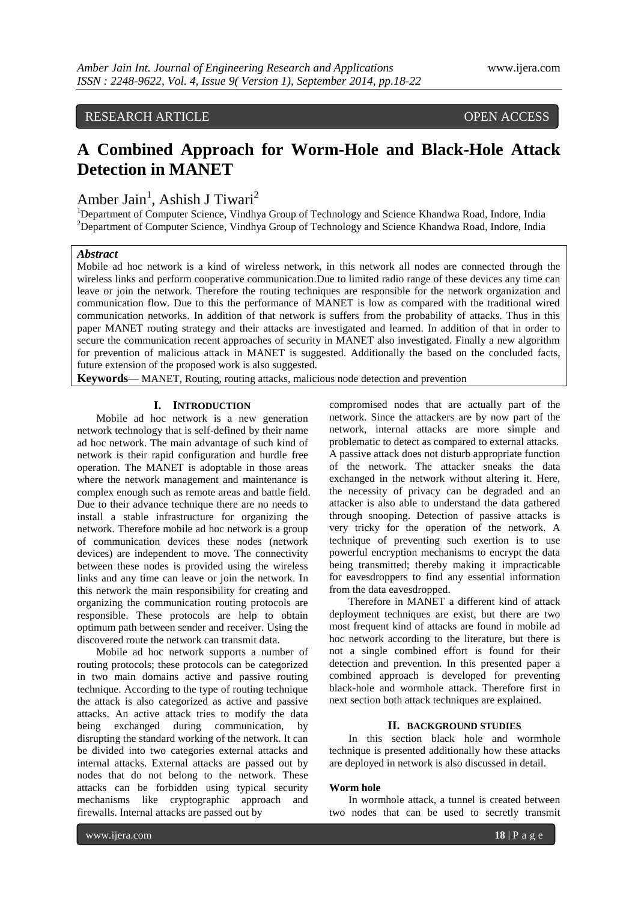RESEARCH ARTICLE OPEN ACCESS

# **A Combined Approach for Worm-Hole and Black-Hole Attack Detection in MANET**

Amber Jain<sup>1</sup>, Ashish J Tiwari<sup>2</sup>

<sup>1</sup>Department of Computer Science, Vindhya Group of Technology and Science Khandwa Road, Indore, India <sup>2</sup>Department of Computer Science, Vindhya Group of Technology and Science Khandwa Road, Indore, India

# *Abstract*

Mobile ad hoc network is a kind of wireless network, in this network all nodes are connected through the wireless links and perform cooperative communication.Due to limited radio range of these devices any time can leave or join the network. Therefore the routing techniques are responsible for the network organization and communication flow. Due to this the performance of MANET is low as compared with the traditional wired communication networks. In addition of that network is suffers from the probability of attacks. Thus in this paper MANET routing strategy and their attacks are investigated and learned. In addition of that in order to secure the communication recent approaches of security in MANET also investigated. Finally a new algorithm for prevention of malicious attack in MANET is suggested. Additionally the based on the concluded facts, future extension of the proposed work is also suggested.

**Keywords**— MANET, Routing, routing attacks, malicious node detection and prevention

## **I. INTRODUCTION**

Mobile ad hoc network is a new generation network technology that is self-defined by their name ad hoc network. The main advantage of such kind of network is their rapid configuration and hurdle free operation. The MANET is adoptable in those areas where the network management and maintenance is complex enough such as remote areas and battle field. Due to their advance technique there are no needs to install a stable infrastructure for organizing the network. Therefore mobile ad hoc network is a group of communication devices these nodes (network devices) are independent to move. The connectivity between these nodes is provided using the wireless links and any time can leave or join the network. In this network the main responsibility for creating and organizing the communication routing protocols are responsible. These protocols are help to obtain optimum path between sender and receiver. Using the discovered route the network can transmit data.

Mobile ad hoc network supports a number of routing protocols; these protocols can be categorized in two main domains active and passive routing technique. According to the type of routing technique the attack is also categorized as active and passive attacks. An active attack tries to modify the data being exchanged during communication, by disrupting the standard working of the network. It can be divided into two categories external attacks and internal attacks. External attacks are passed out by nodes that do not belong to the network. These attacks can be forbidden using typical security mechanisms like cryptographic approach and firewalls. Internal attacks are passed out by

compromised nodes that are actually part of the network. Since the attackers are by now part of the network, internal attacks are more simple and problematic to detect as compared to external attacks. A passive attack does not disturb appropriate function of the network. The attacker sneaks the data exchanged in the network without altering it. Here, the necessity of privacy can be degraded and an attacker is also able to understand the data gathered through snooping. Detection of passive attacks is very tricky for the operation of the network. A technique of preventing such exertion is to use powerful encryption mechanisms to encrypt the data being transmitted; thereby making it impracticable for eavesdroppers to find any essential information from the data eavesdropped.

Therefore in MANET a different kind of attack deployment techniques are exist, but there are two most frequent kind of attacks are found in mobile ad hoc network according to the literature, but there is not a single combined effort is found for their detection and prevention. In this presented paper a combined approach is developed for preventing black-hole and wormhole attack. Therefore first in next section both attack techniques are explained.

#### **II. BACKGROUND STUDIES**

In this section black hole and wormhole technique is presented additionally how these attacks are deployed in network is also discussed in detail.

## **Worm hole**

In wormhole attack, a tunnel is created between two nodes that can be used to secretly transmit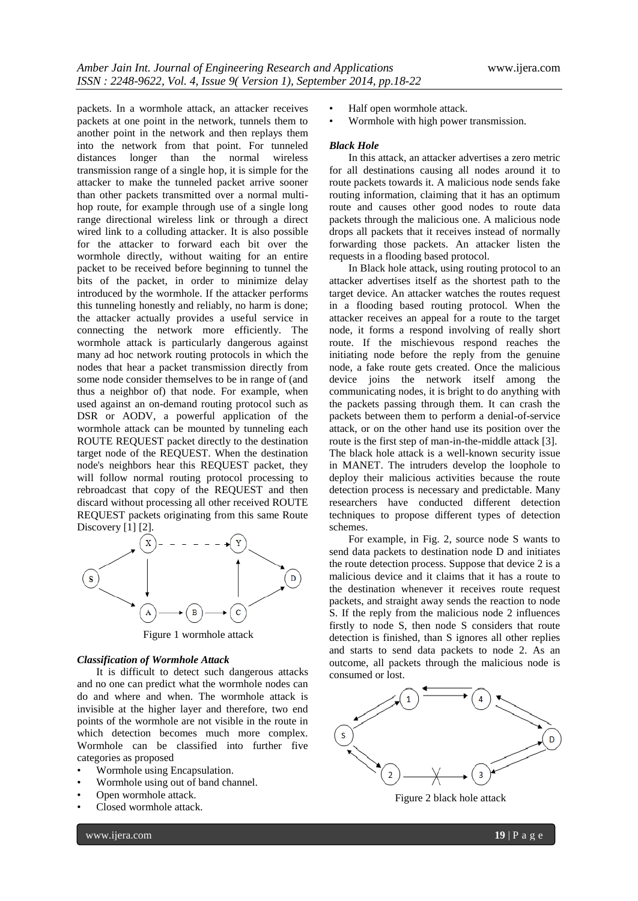packets. In a wormhole attack, an attacker receives packets at one point in the network, tunnels them to another point in the network and then replays them into the network from that point. For tunneled distances longer than the normal wireless transmission range of a single hop, it is simple for the attacker to make the tunneled packet arrive sooner than other packets transmitted over a normal multihop route, for example through use of a single long range directional wireless link or through a direct wired link to a colluding attacker. It is also possible for the attacker to forward each bit over the wormhole directly, without waiting for an entire packet to be received before beginning to tunnel the bits of the packet, in order to minimize delay introduced by the wormhole. If the attacker performs this tunneling honestly and reliably, no harm is done; the attacker actually provides a useful service in connecting the network more efficiently. The wormhole attack is particularly dangerous against many ad hoc network routing protocols in which the nodes that hear a packet transmission directly from some node consider themselves to be in range of (and thus a neighbor of) that node. For example, when used against an on-demand routing protocol such as DSR or AODV, a powerful application of the wormhole attack can be mounted by tunneling each ROUTE REQUEST packet directly to the destination target node of the REQUEST. When the destination node's neighbors hear this REQUEST packet, they will follow normal routing protocol processing to rebroadcast that copy of the REQUEST and then discard without processing all other received ROUTE REQUEST packets originating from this same Route Discovery [1] [2].



Figure 1 wormhole attack

#### *Classification of Wormhole Attack*

It is difficult to detect such dangerous attacks and no one can predict what the wormhole nodes can do and where and when. The wormhole attack is invisible at the higher layer and therefore, two end points of the wormhole are not visible in the route in which detection becomes much more complex. Wormhole can be classified into further five categories as proposed

- Wormhole using Encapsulation.
- Wormhole using out of band channel.
- Open wormhole attack.
- Closed wormhole attack.
- Half open wormhole attack.
- Wormhole with high power transmission.

#### *Black Hole*

In this attack, an attacker advertises a zero metric for all destinations causing all nodes around it to route packets towards it. A malicious node sends fake routing information, claiming that it has an optimum route and causes other good nodes to route data packets through the malicious one. A malicious node drops all packets that it receives instead of normally forwarding those packets. An attacker listen the requests in a flooding based protocol.

In Black hole attack, using routing protocol to an attacker advertises itself as the shortest path to the target device. An attacker watches the routes request in a flooding based routing protocol. When the attacker receives an appeal for a route to the target node, it forms a respond involving of really short route. If the mischievous respond reaches the initiating node before the reply from the genuine node, a fake route gets created. Once the malicious device joins the network itself among the communicating nodes, it is bright to do anything with the packets passing through them. It can crash the packets between them to perform a denial-of-service attack, or on the other hand use its position over the route is the first step of man-in-the-middle attack [3]. The black hole attack is a well-known security issue in MANET. The intruders develop the loophole to deploy their malicious activities because the route detection process is necessary and predictable. Many researchers have conducted different detection techniques to propose different types of detection schemes.

For example, in Fig. 2, source node S wants to send data packets to destination node D and initiates the route detection process. Suppose that device 2 is a malicious device and it claims that it has a route to the destination whenever it receives route request packets, and straight away sends the reaction to node S. If the reply from the malicious node 2 influences firstly to node S, then node S considers that route detection is finished, than S ignores all other replies and starts to send data packets to node 2. As an outcome, all packets through the malicious node is consumed or lost.



Figure 2 black hole attack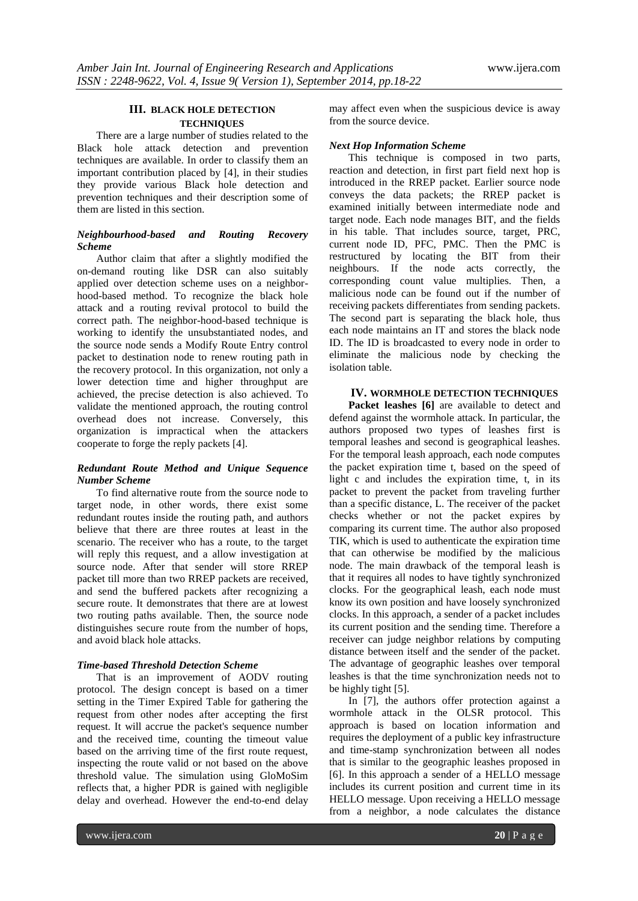# **III. BLACK HOLE DETECTION TECHNIQUES**

There are a large number of studies related to the Black hole attack detection and prevention techniques are available. In order to classify them an important contribution placed by [4], in their studies they provide various Black hole detection and prevention techniques and their description some of them are listed in this section.

## *Neighbourhood-based and Routing Recovery Scheme*

Author claim that after a slightly modified the on-demand routing like DSR can also suitably applied over detection scheme uses on a neighborhood-based method. To recognize the black hole attack and a routing revival protocol to build the correct path. The neighbor-hood-based technique is working to identify the unsubstantiated nodes, and the source node sends a Modify Route Entry control packet to destination node to renew routing path in the recovery protocol. In this organization, not only a lower detection time and higher throughput are achieved, the precise detection is also achieved. To validate the mentioned approach, the routing control overhead does not increase. Conversely, this organization is impractical when the attackers cooperate to forge the reply packets [4].

## *Redundant Route Method and Unique Sequence Number Scheme*

To find alternative route from the source node to target node, in other words, there exist some redundant routes inside the routing path, and authors believe that there are three routes at least in the scenario. The receiver who has a route, to the target will reply this request, and a allow investigation at source node. After that sender will store RREP packet till more than two RREP packets are received, and send the buffered packets after recognizing a secure route. It demonstrates that there are at lowest two routing paths available. Then, the source node distinguishes secure route from the number of hops, and avoid black hole attacks.

## *Time-based Threshold Detection Scheme*

That is an improvement of AODV routing protocol. The design concept is based on a timer setting in the Timer Expired Table for gathering the request from other nodes after accepting the first request. It will accrue the packet's sequence number and the received time, counting the timeout value based on the arriving time of the first route request, inspecting the route valid or not based on the above threshold value. The simulation using GloMoSim reflects that, a higher PDR is gained with negligible delay and overhead. However the end-to-end delay

may affect even when the suspicious device is away from the source device.

## *Next Hop Information Scheme*

This technique is composed in two parts, reaction and detection, in first part field next hop is introduced in the RREP packet. Earlier source node conveys the data packets; the RREP packet is examined initially between intermediate node and target node. Each node manages BIT, and the fields in his table. That includes source, target, PRC, current node ID, PFC, PMC. Then the PMC is restructured by locating the BIT from their neighbours. If the node acts correctly, the corresponding count value multiplies. Then, a malicious node can be found out if the number of receiving packets differentiates from sending packets. The second part is separating the black hole, thus each node maintains an IT and stores the black node ID. The ID is broadcasted to every node in order to eliminate the malicious node by checking the isolation table.

# **IV. WORMHOLE DETECTION TECHNIQUES**

**Packet leashes [6]** are available to detect and defend against the wormhole attack. In particular, the authors proposed two types of leashes first is temporal leashes and second is geographical leashes. For the temporal leash approach, each node computes the packet expiration time t, based on the speed of light c and includes the expiration time, t, in its packet to prevent the packet from traveling further than a specific distance, L. The receiver of the packet checks whether or not the packet expires by comparing its current time. The author also proposed TIK, which is used to authenticate the expiration time that can otherwise be modified by the malicious node. The main drawback of the temporal leash is that it requires all nodes to have tightly synchronized clocks. For the geographical leash, each node must know its own position and have loosely synchronized clocks. In this approach, a sender of a packet includes its current position and the sending time. Therefore a receiver can judge neighbor relations by computing distance between itself and the sender of the packet. The advantage of geographic leashes over temporal leashes is that the time synchronization needs not to be highly tight [5].

In [7], the authors offer protection against a wormhole attack in the OLSR protocol. This approach is based on location information and requires the deployment of a public key infrastructure and time-stamp synchronization between all nodes that is similar to the geographic leashes proposed in [6]. In this approach a sender of a HELLO message includes its current position and current time in its HELLO message. Upon receiving a HELLO message from a neighbor, a node calculates the distance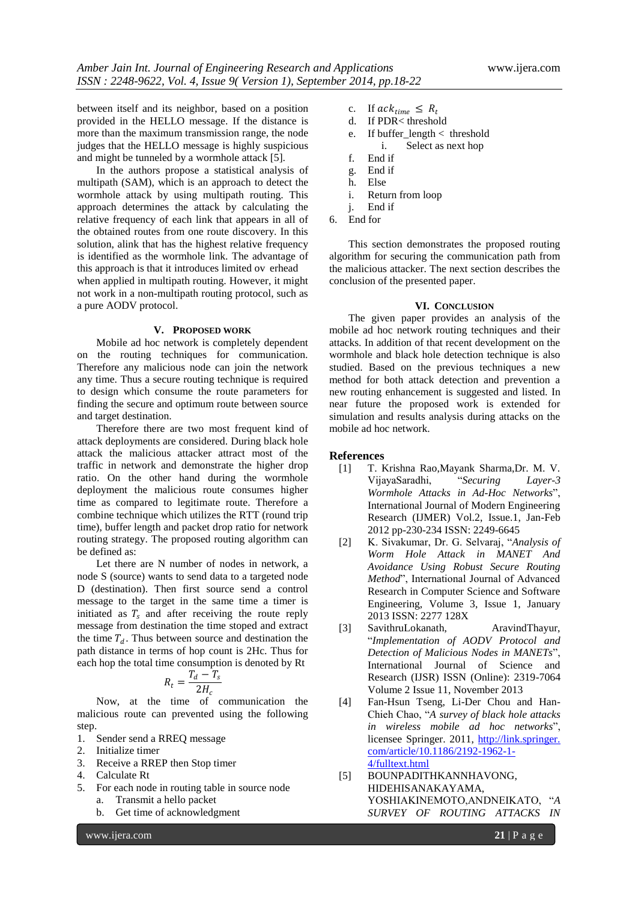between itself and its neighbor, based on a position provided in the HELLO message. If the distance is more than the maximum transmission range, the node judges that the HELLO message is highly suspicious and might be tunneled by a wormhole attack [5].

In the authors propose a statistical analysis of multipath (SAM), which is an approach to detect the wormhole attack by using multipath routing. This approach determines the attack by calculating the relative frequency of each link that appears in all of the obtained routes from one route discovery. In this solution, alink that has the highest relative frequency is identified as the wormhole link. The advantage of this approach is that it introduces limited ov erhead when applied in multipath routing. However, it might not work in a non-multipath routing protocol, such as

#### **V. PROPOSED WORK**

a pure AODV protocol.

Mobile ad hoc network is completely dependent on the routing techniques for communication. Therefore any malicious node can join the network any time. Thus a secure routing technique is required to design which consume the route parameters for finding the secure and optimum route between source and target destination.

Therefore there are two most frequent kind of attack deployments are considered. During black hole attack the malicious attacker attract most of the traffic in network and demonstrate the higher drop ratio. On the other hand during the wormhole deployment the malicious route consumes higher time as compared to legitimate route. Therefore a combine technique which utilizes the RTT (round trip time), buffer length and packet drop ratio for network routing strategy. The proposed routing algorithm can be defined as:

Let there are N number of nodes in network, a node S (source) wants to send data to a targeted node D (destination). Then first source send a control message to the target in the same time a timer is initiated as  $T_s$  and after receiving the route reply message from destination the time stoped and extract the time  $T_d$ . Thus between source and destination the path distance in terms of hop count is 2Hc. Thus for each hop the total time consumption is denoted by Rt

$$
R_t = \frac{T_d - T_s}{2H_c}
$$

Now, at the time of communication the malicious route can prevented using the following step.

- 1. Sender send a RREQ message
- 2. Initialize timer
- 3. Receive a RREP then Stop timer
- 4. Calculate Rt
- 5. For each node in routing table in source node a. Transmit a hello packet
	- b. Get time of acknowledgment
- c. If  $ack_{time} \leq R_t$ <br>d If PDR< threshol
- If PDR< threshold
- e. If buffer\_length < threshold i. Select as next hop
- f. End if
- g. End if
- h. Else
- i. Return from loop
- j. End if
- 6. End for

This section demonstrates the proposed routing algorithm for securing the communication path from the malicious attacker. The next section describes the conclusion of the presented paper.

#### **VI. CONCLUSION**

The given paper provides an analysis of the mobile ad hoc network routing techniques and their attacks. In addition of that recent development on the wormhole and black hole detection technique is also studied. Based on the previous techniques a new method for both attack detection and prevention a new routing enhancement is suggested and listed. In near future the proposed work is extended for simulation and results analysis during attacks on the mobile ad hoc network.

## **References**

- [1] T. Krishna Rao,Mayank Sharma,Dr. M. V. VijayaSaradhi, ―*Securing Layer-3 Wormhole Attacks in Ad-Hoc Networks*‖, International Journal of Modern Engineering Research (IJMER) Vol.2, Issue.1, Jan-Feb 2012 pp-230-234 ISSN: 2249-6645
- [2] K. Sivakumar, Dr. G. Selvaraj, "Analysis of *Worm Hole Attack in MANET And Avoidance Using Robust Secure Routing Method*", International Journal of Advanced Research in Computer Science and Software Engineering, Volume 3, Issue 1, January 2013 ISSN: 2277 128X
- [3] SavithruLokanath, AravindThayur, ―*Implementation of AODV Protocol and Detection of Malicious Nodes in MANETs*‖, International Journal of Science and Research (IJSR) ISSN (Online): 2319-7064 Volume 2 Issue 11, November 2013
- [4] Fan-Hsun Tseng, Li-Der Chou and Han-Chieh Chao, ―*A survey of black hole attacks in wireless mobile ad hoc networks*‖, licensee Springer. 2011, http://link.springer. com/article/10.1186/2192-1962-1- 4/fulltext.html
- [5] BOUNPADITHKANNHAVONG, HIDEHISANAKAYAMA, YOSHIAKINEMOTO,ANDNEIKATO, ―*A SURVEY OF ROUTING ATTACKS IN*

www.ijera.com **21** | P a g e